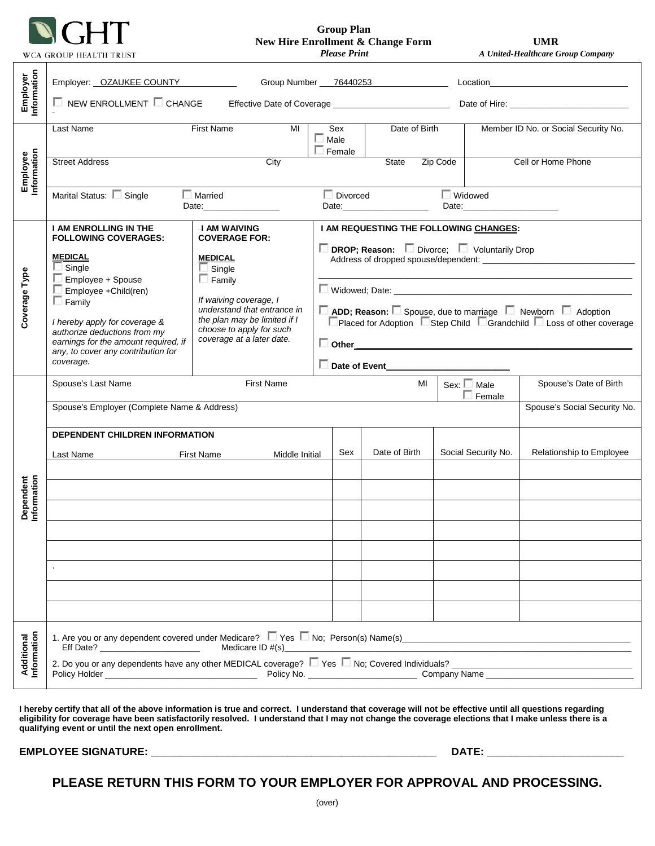

 **Group Plan New Hire Enrollment & Change Form UMR**<br>*Please Print A United-Healthcare G* 

 *Please Print A United-Healthcare Group Company*

|                           | Employer: OZAUKEE COUNTY<br>Group Number 76440253                                                                                                                                                                                                 |                                                                                                                                                                                                    |                                                                                                                                             |                                                      |               |                                                                                                                                                                                                                                                  |                                      |  |
|---------------------------|---------------------------------------------------------------------------------------------------------------------------------------------------------------------------------------------------------------------------------------------------|----------------------------------------------------------------------------------------------------------------------------------------------------------------------------------------------------|---------------------------------------------------------------------------------------------------------------------------------------------|------------------------------------------------------|---------------|--------------------------------------------------------------------------------------------------------------------------------------------------------------------------------------------------------------------------------------------------|--------------------------------------|--|
| Employer<br>Information   |                                                                                                                                                                                                                                                   |                                                                                                                                                                                                    |                                                                                                                                             |                                                      |               |                                                                                                                                                                                                                                                  |                                      |  |
| Employee<br>Information   | <b>First Name</b><br>Last Name<br>MI                                                                                                                                                                                                              |                                                                                                                                                                                                    |                                                                                                                                             | Date of Birth<br>Sex<br>$\Box$ Male<br>$\Box$ Female |               |                                                                                                                                                                                                                                                  | Member ID No. or Social Security No. |  |
|                           | City<br>Cell or Home Phone<br><b>Street Address</b><br>State<br>Zip Code                                                                                                                                                                          |                                                                                                                                                                                                    |                                                                                                                                             |                                                      |               |                                                                                                                                                                                                                                                  |                                      |  |
|                           | Marital Status: Single                                                                                                                                                                                                                            | <b>Married</b><br>Date:                                                                                                                                                                            |                                                                                                                                             | Divorced                                             | Date: 2008    | <b>Widowed</b><br>Date: the contract of the contract of the contract of the contract of the contract of the contract of the contract of the contract of the contract of the contract of the contract of the contract of the contract of the cont |                                      |  |
| Coverage Type             | <b>I AM ENROLLING IN THE</b><br><b>FOLLOWING COVERAGES:</b><br><b>MEDICAL</b>                                                                                                                                                                     | <b>I AM WAIVING</b><br><b>COVERAGE FOR:</b>                                                                                                                                                        | I AM REQUESTING THE FOLLOWING CHANGES:<br>DROP; Reason: Divorce; U Voluntarily Drop                                                         |                                                      |               |                                                                                                                                                                                                                                                  |                                      |  |
|                           | Single<br>Employee + Spouse<br>Employee +Child(ren)                                                                                                                                                                                               | <b>MEDICAL</b><br>$\Box$ Single<br>$\Box$ Family<br>If waiving coverage, I<br>understand that entrance in<br>the plan may be limited if I<br>choose to apply for such<br>coverage at a later date. |                                                                                                                                             |                                                      |               |                                                                                                                                                                                                                                                  |                                      |  |
|                           | $\Box$ Family<br>I hereby apply for coverage &<br>authorize deductions from my<br>earnings for the amount required, if<br>any, to cover any contribution for<br>coverage.                                                                         |                                                                                                                                                                                                    | ADD; Reason: Spouse, due to marriage Newborn Adoption<br>□ Placed for Adoption Step Child Grandchild Loss of other coverage<br>$\Box$ Other |                                                      |               |                                                                                                                                                                                                                                                  |                                      |  |
|                           |                                                                                                                                                                                                                                                   |                                                                                                                                                                                                    |                                                                                                                                             |                                                      |               |                                                                                                                                                                                                                                                  |                                      |  |
| Dependent<br>Information  | Spouse's Last Name<br><b>First Name</b>                                                                                                                                                                                                           |                                                                                                                                                                                                    |                                                                                                                                             |                                                      | MI            | $Sex: \Box$ Male<br>Female                                                                                                                                                                                                                       | Spouse's Date of Birth               |  |
|                           | Spouse's Employer (Complete Name & Address)                                                                                                                                                                                                       |                                                                                                                                                                                                    |                                                                                                                                             |                                                      |               |                                                                                                                                                                                                                                                  | Spouse's Social Security No.         |  |
|                           | <b>DEPENDENT CHILDREN INFORMATION</b>                                                                                                                                                                                                             |                                                                                                                                                                                                    |                                                                                                                                             |                                                      |               |                                                                                                                                                                                                                                                  |                                      |  |
|                           | Last Name                                                                                                                                                                                                                                         | First Name<br>Middle Initial                                                                                                                                                                       |                                                                                                                                             |                                                      | Date of Birth | Social Security No.                                                                                                                                                                                                                              | Relationship to Employee             |  |
|                           |                                                                                                                                                                                                                                                   |                                                                                                                                                                                                    |                                                                                                                                             |                                                      |               |                                                                                                                                                                                                                                                  |                                      |  |
|                           |                                                                                                                                                                                                                                                   |                                                                                                                                                                                                    |                                                                                                                                             |                                                      |               |                                                                                                                                                                                                                                                  |                                      |  |
|                           |                                                                                                                                                                                                                                                   |                                                                                                                                                                                                    |                                                                                                                                             |                                                      |               |                                                                                                                                                                                                                                                  |                                      |  |
|                           |                                                                                                                                                                                                                                                   |                                                                                                                                                                                                    |                                                                                                                                             |                                                      |               |                                                                                                                                                                                                                                                  |                                      |  |
|                           |                                                                                                                                                                                                                                                   |                                                                                                                                                                                                    |                                                                                                                                             |                                                      |               |                                                                                                                                                                                                                                                  |                                      |  |
|                           |                                                                                                                                                                                                                                                   |                                                                                                                                                                                                    |                                                                                                                                             |                                                      |               |                                                                                                                                                                                                                                                  |                                      |  |
|                           |                                                                                                                                                                                                                                                   |                                                                                                                                                                                                    |                                                                                                                                             |                                                      |               |                                                                                                                                                                                                                                                  |                                      |  |
|                           | 1. Are you or any dependent covered under Medicare? Nessan No; Person(s) Name(s) examples and the substitution of the state of the state of the state of the state of the state of the state of the state of the state of the<br>Medicare ID #(s) |                                                                                                                                                                                                    |                                                                                                                                             |                                                      |               |                                                                                                                                                                                                                                                  |                                      |  |
| Additional<br>Information |                                                                                                                                                                                                                                                   |                                                                                                                                                                                                    |                                                                                                                                             |                                                      |               |                                                                                                                                                                                                                                                  |                                      |  |

**I hereby certify that all of the above information is true and correct. I understand that coverage will not be effective until all questions regarding eligibility for coverage have been satisfactorily resolved. I understand that I may not change the coverage elections that I make unless there is a qualifying event or until the next open enrollment.** 

**EMPLOYEE SIGNATURE: \_\_\_\_\_\_\_\_\_\_\_\_\_\_\_\_\_\_\_\_\_\_\_\_\_\_\_\_\_\_\_\_\_\_\_\_\_\_\_\_\_\_\_\_\_\_\_\_ DATE: \_\_\_\_\_\_\_\_\_\_\_\_\_\_\_\_\_\_\_\_\_\_\_**

**PLEASE RETURN THIS FORM TO YOUR EMPLOYER FOR APPROVAL AND PROCESSING.**